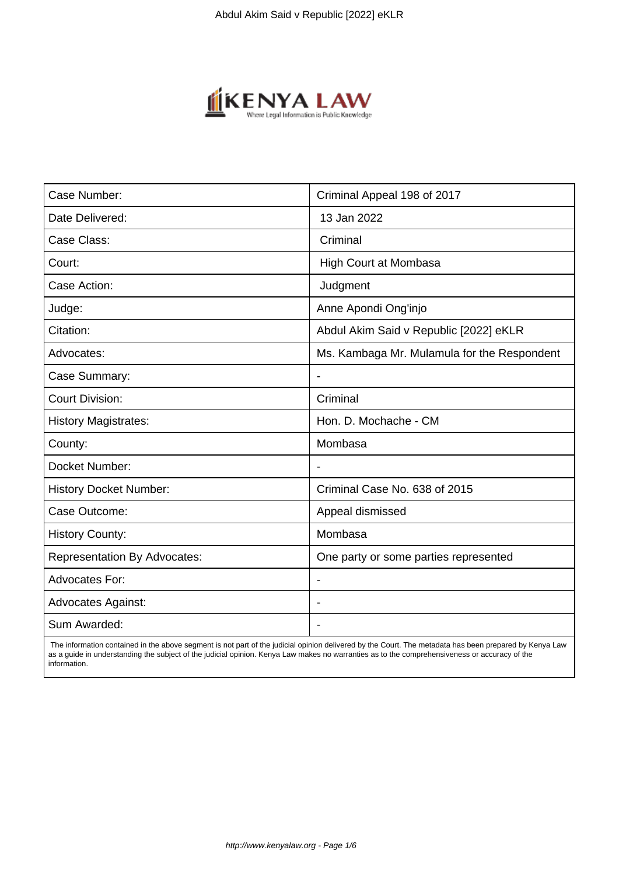

| Case Number:                        | Criminal Appeal 198 of 2017                 |
|-------------------------------------|---------------------------------------------|
| Date Delivered:                     | 13 Jan 2022                                 |
| Case Class:                         | Criminal                                    |
| Court:                              | <b>High Court at Mombasa</b>                |
| Case Action:                        | Judgment                                    |
| Judge:                              | Anne Apondi Ong'injo                        |
| Citation:                           | Abdul Akim Said v Republic [2022] eKLR      |
| Advocates:                          | Ms. Kambaga Mr. Mulamula for the Respondent |
| Case Summary:                       | $\overline{\phantom{a}}$                    |
| <b>Court Division:</b>              | Criminal                                    |
| <b>History Magistrates:</b>         | Hon. D. Mochache - CM                       |
| County:                             | Mombasa                                     |
| Docket Number:                      |                                             |
| <b>History Docket Number:</b>       | Criminal Case No. 638 of 2015               |
| Case Outcome:                       | Appeal dismissed                            |
| <b>History County:</b>              | Mombasa                                     |
| <b>Representation By Advocates:</b> | One party or some parties represented       |
| <b>Advocates For:</b>               | $\overline{\phantom{a}}$                    |
| <b>Advocates Against:</b>           |                                             |
| Sum Awarded:                        |                                             |

 The information contained in the above segment is not part of the judicial opinion delivered by the Court. The metadata has been prepared by Kenya Law as a guide in understanding the subject of the judicial opinion. Kenya Law makes no warranties as to the comprehensiveness or accuracy of the information.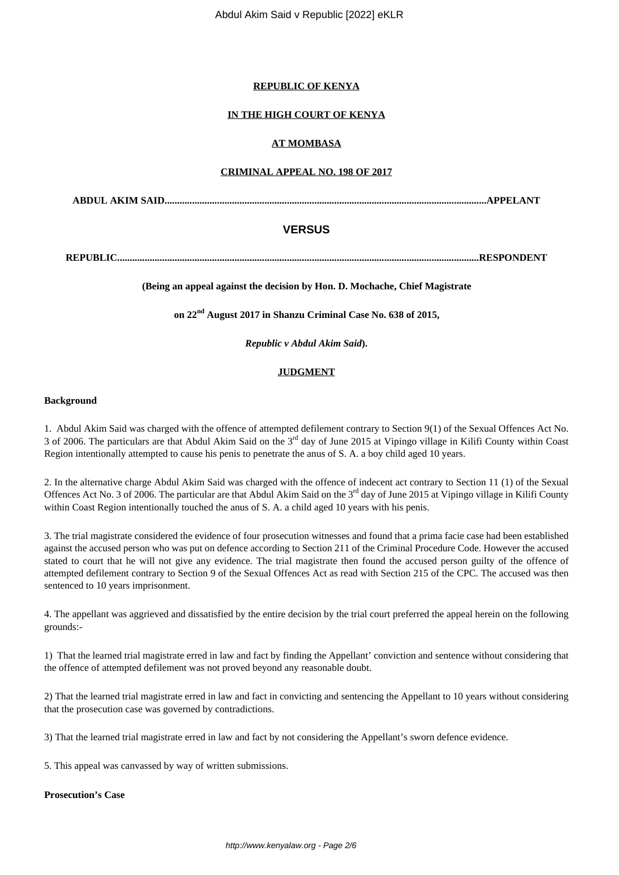### **REPUBLIC OF KENYA**

## **IN THE HIGH COURT OF KENYA**

## **AT MOMBASA**

### **CRIMINAL APPEAL NO. 198 OF 2017**

**ABDUL AKIM SAID.................................................................................................................................APPELANT**

# **VERSUS**

**REPUBLIC.................................................................................................................................................RESPONDENT**

### **(Being an appeal against the decision by Hon. D. Mochache, Chief Magistrate**

**on 22nd August 2017 in Shanzu Criminal Case No. 638 of 2015,**

*Republic v Abdul Akim Said***).**

### **JUDGMENT**

#### **Background**

1. Abdul Akim Said was charged with the offence of attempted defilement contrary to Section 9(1) of the Sexual Offences Act No. 3 of 2006. The particulars are that Abdul Akim Said on the 3rd day of June 2015 at Vipingo village in Kilifi County within Coast Region intentionally attempted to cause his penis to penetrate the anus of S. A. a boy child aged 10 years.

2. In the alternative charge Abdul Akim Said was charged with the offence of indecent act contrary to Section 11 (1) of the Sexual Offences Act No. 3 of 2006. The particular are that Abdul Akim Said on the 3<sup>rd</sup> day of June 2015 at Vipingo village in Kilifi County within Coast Region intentionally touched the anus of S. A. a child aged 10 years with his penis.

3. The trial magistrate considered the evidence of four prosecution witnesses and found that a prima facie case had been established against the accused person who was put on defence according to Section 211 of the Criminal Procedure Code. However the accused stated to court that he will not give any evidence. The trial magistrate then found the accused person guilty of the offence of attempted defilement contrary to Section 9 of the Sexual Offences Act as read with Section 215 of the CPC. The accused was then sentenced to 10 years imprisonment.

4. The appellant was aggrieved and dissatisfied by the entire decision by the trial court preferred the appeal herein on the following grounds:-

1) That the learned trial magistrate erred in law and fact by finding the Appellant' conviction and sentence without considering that the offence of attempted defilement was not proved beyond any reasonable doubt.

2) That the learned trial magistrate erred in law and fact in convicting and sentencing the Appellant to 10 years without considering that the prosecution case was governed by contradictions.

3) That the learned trial magistrate erred in law and fact by not considering the Appellant's sworn defence evidence.

5. This appeal was canvassed by way of written submissions.

#### **Prosecution's Case**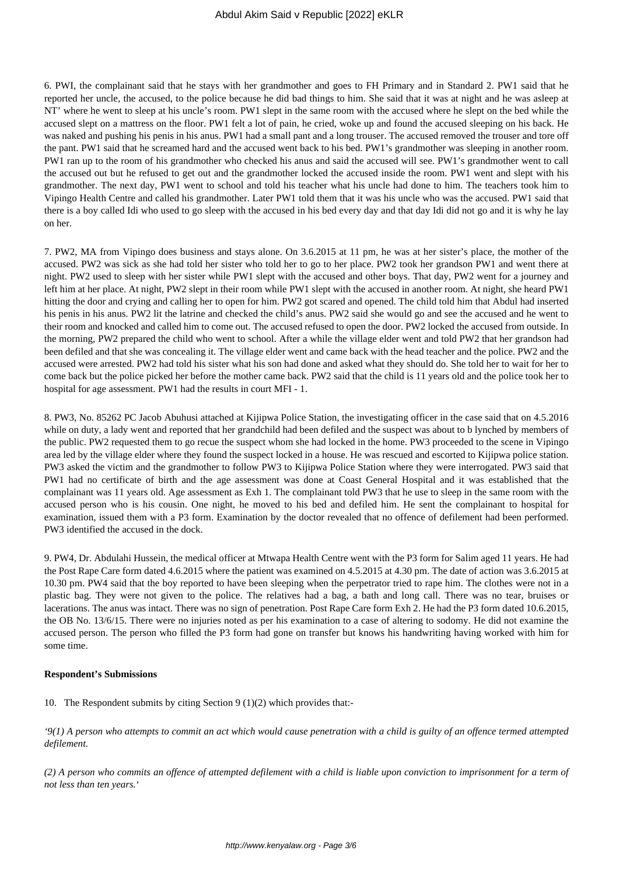6. PWI, the complainant said that he stays with her grandmother and goes to FH Primary and in Standard 2. PW1 said that he reported her uncle, the accused, to the police because he did bad things to him. She said that it was at night and he was asleep at NT' where he went to sleep at his uncle's room. PW1 slept in the same room with the accused where he slept on the bed while the accused slept on a mattress on the floor. PW1 felt a lot of pain, he cried, woke up and found the accused sleeping on his back. He was naked and pushing his penis in his anus. PW1 had a small pant and a long trouser. The accused removed the trouser and tore off the pant. PW1 said that he screamed hard and the accused went back to his bed. PW1's grandmother was sleeping in another room. PW1 ran up to the room of his grandmother who checked his anus and said the accused will see. PW1's grandmother went to call the accused out but he refused to get out and the grandmother locked the accused inside the room. PW1 went and slept with his grandmother. The next day, PW1 went to school and told his teacher what his uncle had done to him. The teachers took him to Vipingo Health Centre and called his grandmother. Later PW1 told them that it was his uncle who was the accused. PW1 said that there is a boy called Idi who used to go sleep with the accused in his bed every day and that day Idi did not go and it is why he lay on her.

7. PW2, MA from Vipingo does business and stays alone. On 3.6.2015 at 11 pm, he was at her sister's place, the mother of the accused. PW2 was sick as she had told her sister who told her to go to her place. PW2 took her grandson PW1 and went there at night. PW2 used to sleep with her sister while PW1 slept with the accused and other boys. That day, PW2 went for a journey and left him at her place. At night, PW2 slept in their room while PW1 slept with the accused in another room. At night, she heard PW1 hitting the door and crying and calling her to open for him. PW2 got scared and opened. The child told him that Abdul had inserted his penis in his anus. PW2 lit the latrine and checked the child's anus. PW2 said she would go and see the accused and he went to their room and knocked and called him to come out. The accused refused to open the door. PW2 locked the accused from outside. In the morning, PW2 prepared the child who went to school. After a while the village elder went and told PW2 that her grandson had been defiled and that she was concealing it. The village elder went and came back with the head teacher and the police. PW2 and the accused were arrested. PW2 had told his sister what his son had done and asked what they should do. She told her to wait for her to come back but the police picked her before the mother came back. PW2 said that the child is 11 years old and the police took her to hospital for age assessment. PW1 had the results in court MFI - 1.

8. PW3, No. 85262 PC Jacob Abuhusi attached at Kijipwa Police Station, the investigating officer in the case said that on 4.5.2016 while on duty, a lady went and reported that her grandchild had been defiled and the suspect was about to b lynched by members of the public. PW2 requested them to go recue the suspect whom she had locked in the home. PW3 proceeded to the scene in Vipingo area led by the village elder where they found the suspect locked in a house. He was rescued and escorted to Kijipwa police station. PW3 asked the victim and the grandmother to follow PW3 to Kijipwa Police Station where they were interrogated. PW3 said that PW1 had no certificate of birth and the age assessment was done at Coast General Hospital and it was established that the complainant was 11 years old. Age assessment as Exh 1. The complainant told PW3 that he use to sleep in the same room with the accused person who is his cousin. One night, he moved to his bed and defiled him. He sent the complainant to hospital for examination, issued them with a P3 form. Examination by the doctor revealed that no offence of defilement had been performed. PW3 identified the accused in the dock.

9. PW4, Dr. Abdulahi Hussein, the medical officer at Mtwapa Health Centre went with the P3 form for Salim aged 11 years. He had the Post Rape Care form dated 4.6.2015 where the patient was examined on 4.5.2015 at 4.30 pm. The date of action was 3.6.2015 at 10.30 pm. PW4 said that the boy reported to have been sleeping when the perpetrator tried to rape him. The clothes were not in a plastic bag. They were not given to the police. The relatives had a bag, a bath and long call. There was no tear, bruises or lacerations. The anus was intact. There was no sign of penetration. Post Rape Care form Exh 2. He had the P3 form dated 10.6.2015, the OB No. 13/6/15. There were no injuries noted as per his examination to a case of altering to sodomy. He did not examine the accused person. The person who filled the P3 form had gone on transfer but knows his handwriting having worked with him for some time.

#### **Respondent's Submissions**

10. The Respondent submits by citing Section 9 (1)(2) which provides that:-

*'9(1) A person who attempts to commit an act which would cause penetration with a child is guilty of an offence termed attempted defilement.*

*(2) A person who commits an offence of attempted defilement with a child is liable upon conviction to imprisonment for a term of not less than ten years.*'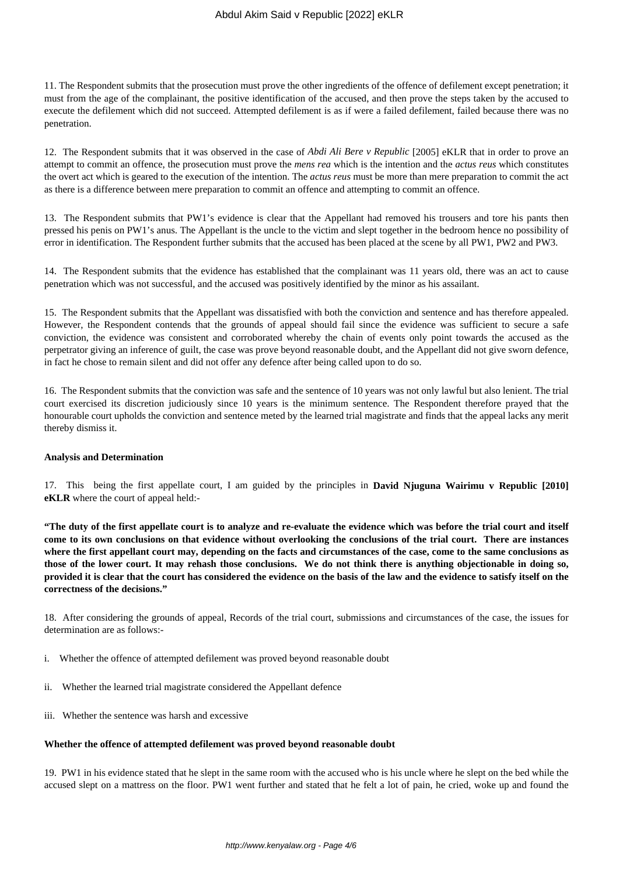11. The Respondent submits that the prosecution must prove the other ingredients of the offence of defilement except penetration; it must from the age of the complainant, the positive identification of the accused, and then prove the steps taken by the accused to execute the defilement which did not succeed. Attempted defilement is as if were a failed defilement, failed because there was no penetration.

12. The Respondent submits that it was observed in the case of *Abdi Ali Bere v Republic* [2005] eKLR that in order to prove an attempt to commit an offence, the prosecution must prove the *mens rea* which is the intention and the *actus reus* which constitutes the overt act which is geared to the execution of the intention. The *actus reus* must be more than mere preparation to commit the act as there is a difference between mere preparation to commit an offence and attempting to commit an offence.

13. The Respondent submits that PW1's evidence is clear that the Appellant had removed his trousers and tore his pants then pressed his penis on PW1's anus. The Appellant is the uncle to the victim and slept together in the bedroom hence no possibility of error in identification. The Respondent further submits that the accused has been placed at the scene by all PW1, PW2 and PW3.

14. The Respondent submits that the evidence has established that the complainant was 11 years old, there was an act to cause penetration which was not successful, and the accused was positively identified by the minor as his assailant.

15. The Respondent submits that the Appellant was dissatisfied with both the conviction and sentence and has therefore appealed. However, the Respondent contends that the grounds of appeal should fail since the evidence was sufficient to secure a safe conviction, the evidence was consistent and corroborated whereby the chain of events only point towards the accused as the perpetrator giving an inference of guilt, the case was prove beyond reasonable doubt, and the Appellant did not give sworn defence, in fact he chose to remain silent and did not offer any defence after being called upon to do so.

16. The Respondent submits that the conviction was safe and the sentence of 10 years was not only lawful but also lenient. The trial court exercised its discretion judiciously since 10 years is the minimum sentence. The Respondent therefore prayed that the honourable court upholds the conviction and sentence meted by the learned trial magistrate and finds that the appeal lacks any merit thereby dismiss it.

#### **Analysis and Determination**

17. This being the first appellate court, I am guided by the principles in **David Njuguna Wairimu v Republic [2010] eKLR** where the court of appeal held:-

**"The duty of the first appellate court is to analyze and re-evaluate the evidence which was before the trial court and itself come to its own conclusions on that evidence without overlooking the conclusions of the trial court. There are instances where the first appellant court may, depending on the facts and circumstances of the case, come to the same conclusions as those of the lower court. It may rehash those conclusions. We do not think there is anything objectionable in doing so, provided it is clear that the court has considered the evidence on the basis of the law and the evidence to satisfy itself on the correctness of the decisions."**

18. After considering the grounds of appeal, Records of the trial court, submissions and circumstances of the case, the issues for determination are as follows:-

- i. Whether the offence of attempted defilement was proved beyond reasonable doubt
- ii. Whether the learned trial magistrate considered the Appellant defence
- iii. Whether the sentence was harsh and excessive

#### **Whether the offence of attempted defilement was proved beyond reasonable doubt**

19. PW1 in his evidence stated that he slept in the same room with the accused who is his uncle where he slept on the bed while the accused slept on a mattress on the floor. PW1 went further and stated that he felt a lot of pain, he cried, woke up and found the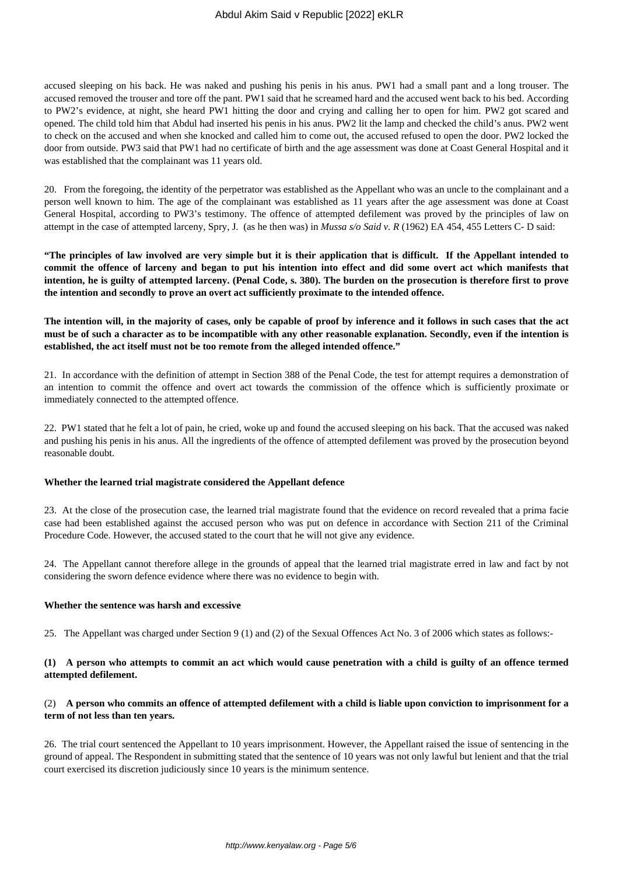accused sleeping on his back. He was naked and pushing his penis in his anus. PW1 had a small pant and a long trouser. The accused removed the trouser and tore off the pant. PW1 said that he screamed hard and the accused went back to his bed. According to PW2's evidence, at night, she heard PW1 hitting the door and crying and calling her to open for him. PW2 got scared and opened. The child told him that Abdul had inserted his penis in his anus. PW2 lit the lamp and checked the child's anus. PW2 went to check on the accused and when she knocked and called him to come out, the accused refused to open the door. PW2 locked the door from outside. PW3 said that PW1 had no certificate of birth and the age assessment was done at Coast General Hospital and it was established that the complainant was 11 years old.

20. From the foregoing, the identity of the perpetrator was established as the Appellant who was an uncle to the complainant and a person well known to him. The age of the complainant was established as 11 years after the age assessment was done at Coast General Hospital, according to PW3's testimony. The offence of attempted defilement was proved by the principles of law on attempt in the case of attempted larceny, Spry, J. (as he then was) in *Mussa s/o Said v. R* (1962) EA 454, 455 Letters C- D said:

**"The principles of law involved are very simple but it is their application that is difficult. If the Appellant intended to commit the offence of larceny and began to put his intention into effect and did some overt act which manifests that intention, he is guilty of attempted larceny. (Penal Code, s. 380). The burden on the prosecution is therefore first to prove the intention and secondly to prove an overt act sufficiently proximate to the intended offence.**

**The intention will, in the majority of cases, only be capable of proof by inference and it follows in such cases that the act must be of such a character as to be incompatible with any other reasonable explanation. Secondly, even if the intention is established, the act itself must not be too remote from the alleged intended offence."**

21. In accordance with the definition of attempt in Section 388 of the Penal Code, the test for attempt requires a demonstration of an intention to commit the offence and overt act towards the commission of the offence which is sufficiently proximate or immediately connected to the attempted offence.

22. PW1 stated that he felt a lot of pain, he cried, woke up and found the accused sleeping on his back. That the accused was naked and pushing his penis in his anus. All the ingredients of the offence of attempted defilement was proved by the prosecution beyond reasonable doubt.

#### **Whether the learned trial magistrate considered the Appellant defence**

23. At the close of the prosecution case, the learned trial magistrate found that the evidence on record revealed that a prima facie case had been established against the accused person who was put on defence in accordance with Section 211 of the Criminal Procedure Code. However, the accused stated to the court that he will not give any evidence.

24. The Appellant cannot therefore allege in the grounds of appeal that the learned trial magistrate erred in law and fact by not considering the sworn defence evidence where there was no evidence to begin with.

#### **Whether the sentence was harsh and excessive**

25. The Appellant was charged under Section 9 (1) and (2) of the Sexual Offences Act No. 3 of 2006 which states as follows:-

### **(1) A person who attempts to commit an act which would cause penetration with a child is guilty of an offence termed attempted defilement.**

## (2) **A person who commits an offence of attempted defilement with a child is liable upon conviction to imprisonment for a term of not less than ten years.**

26. The trial court sentenced the Appellant to 10 years imprisonment. However, the Appellant raised the issue of sentencing in the ground of appeal. The Respondent in submitting stated that the sentence of 10 years was not only lawful but lenient and that the trial court exercised its discretion judiciously since 10 years is the minimum sentence.